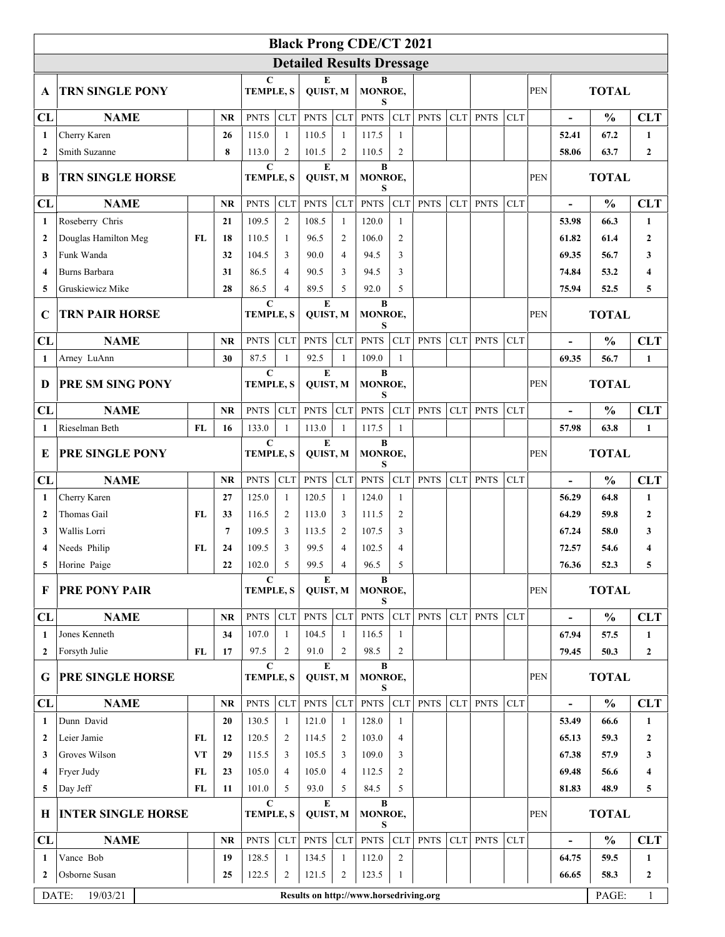|                                  |                           |           |                                        |                                 |                                                  |                                    |                   | <b>Black Prong CDE/CT 2021</b> |                          |             |            |             |              |              |                              |               |                  |
|----------------------------------|---------------------------|-----------|----------------------------------------|---------------------------------|--------------------------------------------------|------------------------------------|-------------------|--------------------------------|--------------------------|-------------|------------|-------------|--------------|--------------|------------------------------|---------------|------------------|
| <b>Detailed Results Dressage</b> |                           |           |                                        |                                 |                                                  |                                    |                   |                                |                          |             |            |             |              |              |                              |               |                  |
| A                                | <b>TRN SINGLE PONY</b>    |           |                                        | $\mathbf C$<br><b>TEMPLE, S</b> |                                                  | E<br>QUIST, M                      |                   | B<br>MONROE,<br>S              |                          |             |            |             |              | <b>PEN</b>   | <b>TOTAL</b>                 |               |                  |
| CL                               | <b>NAME</b>               |           | <b>NR</b>                              | <b>PNTS</b>                     | <b>CLT</b>                                       | <b>PNTS</b>                        | CLT               | <b>PNTS</b>                    | <b>CLT</b>               | <b>PNTS</b> | CLT        | <b>PNTS</b> | <b>CLT</b>   |              |                              | $\frac{0}{0}$ | <b>CLT</b>       |
| $\mathbf{1}$                     | Cherry Karen              |           | 26                                     | 115.0                           | 1                                                | 110.5                              | $\mathbf{1}$      | 117.5                          | -1                       |             |            |             |              |              | 52.41                        | 67.2          | $\mathbf{1}$     |
| $\mathbf{2}$                     | Smith Suzanne             |           | 8                                      | 113.0                           | 2                                                | 101.5                              | $\overline{2}$    | 110.5                          | $\overline{2}$           |             |            |             |              |              | 58.06                        | 63.7          | $\mathbf{2}$     |
| B                                | <b>TRN SINGLE HORSE</b>   |           |                                        | $\mathbf C$<br><b>TEMPLE, S</b> |                                                  | E<br>B<br>QUIST, M<br>MONROE,<br>S |                   |                                |                          |             |            | <b>PEN</b>  | <b>TOTAL</b> |              |                              |               |                  |
| CL                               | <b>NAME</b>               |           | <b>NR</b>                              | <b>PNTS</b>                     | <b>CLT</b>                                       | <b>PNTS</b>                        | CLT               | <b>PNTS</b>                    | <b>CLT</b>               | <b>PNTS</b> | <b>CLT</b> | <b>PNTS</b> | <b>CLT</b>   |              | $\overline{\phantom{a}}$     | $\frac{0}{0}$ | <b>CLT</b>       |
| 1                                | Roseberry Chris           |           | 21                                     | 109.5                           | $\overline{2}$                                   | 108.5                              | $\mathbf{1}$      | 120.0                          | 1                        |             |            |             |              |              | 53.98                        | 66.3          | $\mathbf{1}$     |
| $\mathbf{2}$                     | Douglas Hamilton Meg      | FL        | 18                                     | 110.5                           | 1                                                | 96.5                               | $\overline{2}$    | 106.0                          | $\overline{2}$           |             |            |             |              |              | 61.82                        | 61.4          | $\mathbf{2}$     |
| 3                                | Funk Wanda                |           | 32                                     | 104.5                           | 3                                                | 90.0                               | $\overline{4}$    | 94.5                           | 3                        |             |            |             |              |              | 69.35                        | 56.7          | 3                |
| $\overline{\mathbf{4}}$          | Burns Barbara             |           | 31                                     | 86.5                            | $\overline{4}$                                   | 90.5                               | 3                 | 94.5                           | 3                        |             |            |             |              |              | 74.84                        | 53.2          | 4                |
| 5                                | Gruskiewicz Mike          |           | 28                                     | 86.5                            | $\overline{4}$                                   | 89.5                               | 5                 | 92.0                           | 5                        |             |            |             |              |              | 75.94                        | 52.5          | 5                |
| $\mathbf C$                      | <b>TRN PAIR HORSE</b>     |           |                                        | $\mathbf C$<br><b>TEMPLE, S</b> |                                                  | E<br>QUIST, M                      |                   | B<br>MONROE,<br>S              |                          |             |            |             |              | <b>PEN</b>   | <b>TOTAL</b>                 |               |                  |
| CL                               | <b>NAME</b>               |           | <b>NR</b>                              | <b>PNTS</b>                     | <b>CLT</b>                                       | <b>PNTS</b>                        | <b>CLT</b>        | <b>PNTS</b>                    | <b>CLT</b>               | <b>PNTS</b> | <b>CLT</b> | <b>PNTS</b> | <b>CLT</b>   |              |                              | $\frac{0}{0}$ | <b>CLT</b>       |
| 1                                | Arney LuAnn               |           | 30                                     | 87.5                            | $\mathbf{1}$                                     | 92.5                               | $\mathbf{1}$      | 109.0                          | 1                        |             |            |             |              |              | 69.35                        | 56.7          | $\mathbf{1}$     |
| D                                | PRE SM SING PONY          |           |                                        |                                 | $\mathbf C$<br>E<br><b>TEMPLE, S</b><br>QUIST, M |                                    |                   | B<br>MONROE,<br>S              |                          |             |            |             |              | <b>PEN</b>   | <b>TOTAL</b>                 |               |                  |
| CL                               | <b>NAME</b>               |           | <b>NR</b>                              | <b>PNTS</b>                     | CLT                                              | <b>PNTS</b>                        | CLT               | <b>PNTS</b>                    | <b>CLT</b>               | <b>PNTS</b> | <b>CLT</b> | <b>PNTS</b> | <b>CLT</b>   |              | $\qquad \qquad \blacksquare$ | $\frac{0}{0}$ | <b>CLT</b>       |
| 1                                | Rieselman Beth            | <b>FL</b> | 16                                     | 133.0                           | $\mathbf{1}$                                     | 113.0                              | $\mathbf{1}$      | 117.5                          | 1                        |             |            |             |              |              | 57.98                        | 63.8          | $\mathbf{1}$     |
| E                                | PRE SINGLE PONY           |           |                                        | $\mathbf C$<br><b>TEMPLE, S</b> |                                                  | E<br>QUIST, M                      |                   | B<br>MONROE,<br>S              |                          |             |            |             |              | <b>PEN</b>   | <b>TOTAL</b>                 |               |                  |
| CL                               | <b>NAME</b>               |           | <b>NR</b>                              | <b>PNTS</b>                     | <b>CLT</b>                                       | <b>PNTS</b>                        | CLT               | <b>PNTS</b>                    | <b>CLT</b>               | <b>PNTS</b> | <b>CLT</b> | <b>PNTS</b> | <b>CLT</b>   |              | $\overline{\phantom{a}}$     | $\frac{0}{0}$ | <b>CLT</b>       |
| 1                                | Cherry Karen              |           | 27                                     | 125.0                           | 1                                                | 120.5                              | $\mathbf{1}$      | 124.0                          | $\mathbf{1}$             |             |            |             |              |              | 56.29                        | 64.8          | 1                |
| $\mathbf{2}$                     | Thomas Gail               | FL        | 33                                     | 116.5                           | 2                                                | 113.0                              | 3                 | 111.5                          | $\overline{2}$           |             |            |             |              |              | 64.29                        | 59.8          | $\mathbf{2}$     |
| 3                                | Wallis Lorri              |           | 7                                      | 109.5                           | 3                                                | 113.5                              | 2                 | 107.5                          | 3                        |             |            |             |              |              | 67.24                        | 58.0          | 3                |
| 4                                | Needs Philip              | FL        | 24                                     | 109.5                           | 3                                                | 99.5                               | $\overline{4}$    | 102.5                          | $\overline{4}$           |             |            |             |              |              | 72.57                        | 54.6          | 4                |
|                                  | Horine Paige              |           | 22                                     | 102.0                           | 5                                                | 99.5                               | 4                 | 96.5                           | 5                        |             |            |             |              |              | 76.36                        | 52.3          | 5                |
| F                                | <b>PRE PONY PAIR</b>      |           |                                        | C<br>E<br>TEMPLE, S<br>QUIST, M |                                                  |                                    | B<br>MONROE,<br>S |                                |                          |             |            |             | <b>PEN</b>   | <b>TOTAL</b> |                              |               |                  |
| CL                               | <b>NAME</b>               |           | <b>NR</b>                              | <b>PNTS</b>                     | ${\rm CLT}$                                      | <b>PNTS</b>                        | CLT               | <b>PNTS</b>                    | CLT                      | <b>PNTS</b> | <b>CLT</b> | <b>PNTS</b> | <b>CLT</b>   |              | $\qquad \qquad \blacksquare$ | $\frac{0}{0}$ | <b>CLT</b>       |
| 1                                | Jones Kenneth             |           | 34                                     | 107.0                           | $\mathbf{1}$                                     | 104.5                              | -1                | 116.5                          | -1                       |             |            |             |              |              | 67.94                        | 57.5          | $\mathbf{1}$     |
| $\mathbf{2}$                     | Forsyth Julie             | FL        | 17                                     | 97.5                            | 2                                                | 91.0                               | 2                 | 98.5                           | $\overline{2}$           |             |            |             |              |              | 79.45                        | 50.3          | $\mathbf{2}$     |
| G                                | PRE SINGLE HORSE          |           |                                        |                                 | $\mathbf C$<br><b>TEMPLE, S</b>                  |                                    | E<br>QUIST, M     |                                | $\bf{B}$<br>MONROE,<br>S |             |            |             |              | <b>PEN</b>   | <b>TOTAL</b>                 |               |                  |
| CL                               | <b>NAME</b>               |           | <b>NR</b>                              | <b>PNTS</b>                     | ${\rm CLT}$                                      | <b>PNTS</b>                        | CLT               | <b>PNTS</b>                    | <b>CLT</b>               | <b>PNTS</b> | CLT        | <b>PNTS</b> | <b>CLT</b>   |              | $\overline{a}$               | $\frac{0}{0}$ | <b>CLT</b>       |
| 1                                | Dunn David                |           | 20                                     | 130.5                           | -1                                               | 121.0                              | 1                 | 128.0                          | 1                        |             |            |             |              |              | 53.49                        | 66.6          | 1                |
| $\overline{2}$                   | Leier Jamie               | FL        | 12                                     | 120.5                           | 2                                                | 114.5                              | 2                 | 103.0                          | $\overline{4}$           |             |            |             |              |              | 65.13                        | 59.3          | $\boldsymbol{2}$ |
| 3                                | Groves Wilson             | <b>VT</b> | 29                                     | 115.5                           | 3                                                | 105.5                              | 3                 | 109.0                          | 3                        |             |            |             |              |              | 67.38                        | 57.9          | 3                |
| 4                                | Fryer Judy                | FL        | 23                                     | 105.0                           | $\overline{4}$                                   | 105.0                              | $\overline{4}$    | 112.5                          | 2                        |             |            |             |              |              | 69.48                        | 56.6          | 4                |
| 5                                | Day Jeff                  | FL        | 11                                     | 101.0                           | 5                                                | 93.0                               | 5                 | 84.5                           | 5                        |             |            |             |              |              | 81.83                        | 48.9          | 5                |
| Н                                | <b>INTER SINGLE HORSE</b> |           |                                        | $\mathbf C$<br><b>TEMPLE, S</b> |                                                  |                                    | E<br>QUIST, M     |                                | B<br>MONROE,<br>S        |             |            |             |              |              | <b>TOTAL</b><br><b>PEN</b>   |               |                  |
| CL                               | <b>NAME</b>               |           | <b>NR</b>                              | <b>PNTS</b>                     | CLT                                              | <b>PNTS</b>                        | CLT               | <b>PNTS</b>                    | <b>CLT</b>               | <b>PNTS</b> | CLT        | <b>PNTS</b> | <b>CLT</b>   |              | $\blacksquare$               | $\frac{0}{0}$ | <b>CLT</b>       |
| 1                                | Vance Bob                 |           | 19                                     | 128.5                           | 1                                                | 134.5                              | $\mathbf{1}$      | 112.0                          | $\overline{2}$           |             |            |             |              |              | 64.75                        | 59.5          | $\mathbf{1}$     |
| 2                                | Osborne Susan             |           | 25                                     | 122.5                           | $\overline{2}$                                   | 121.5                              | 2                 | 123.5                          | 1                        |             |            |             |              |              | 66.65                        | 58.3          | $\mathbf{2}$     |
|                                  | DATE:<br>19/03/21         |           | Results on http://www.horsedriving.org |                                 |                                                  |                                    |                   |                                |                          |             |            | PAGE:       | $\mathbf{1}$ |              |                              |               |                  |